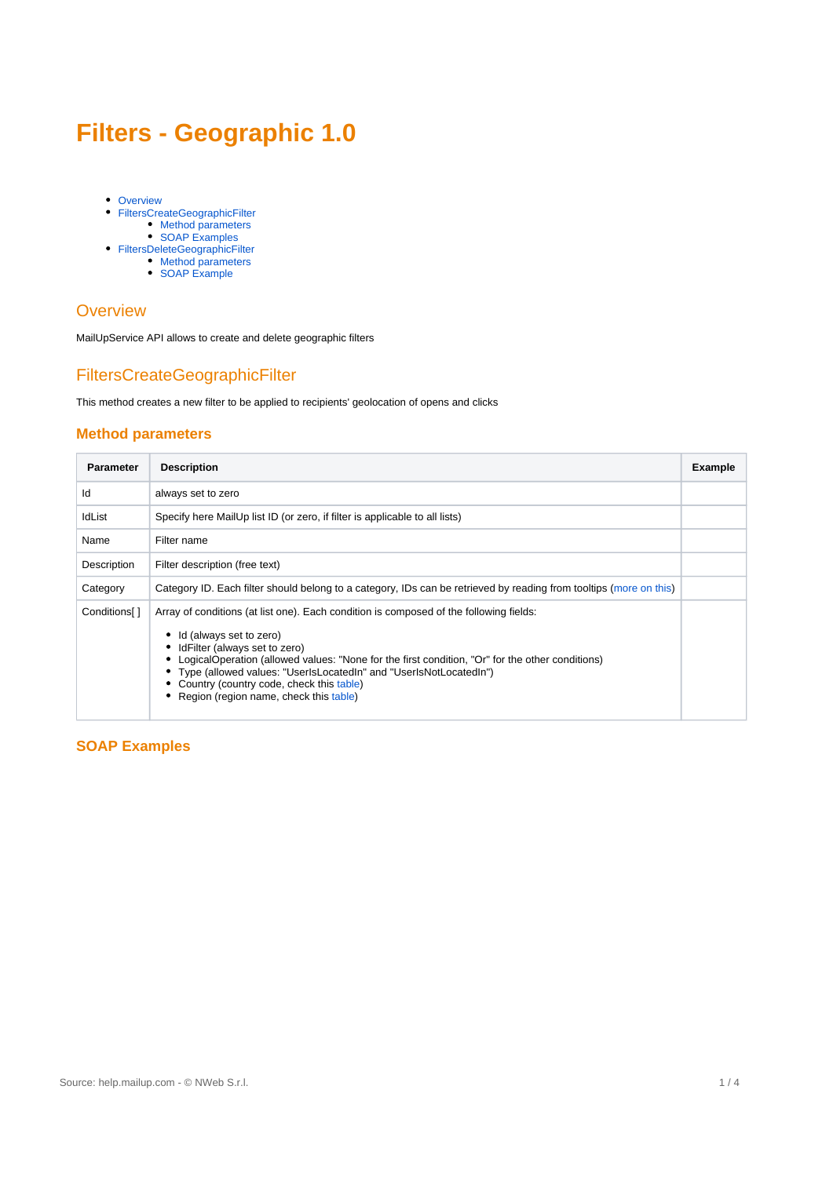# **Filters - Geographic 1.0**

- [Overview](#page-0-0)
- [FiltersCreateGeographicFilter](#page-0-1)
	- [Method parameters](#page-0-2)
	- [SOAP Examples](#page-0-3)
- [FiltersDeleteGeographicFilter](#page-2-0)
	- [Method parameters](#page-2-1) [SOAP Example](#page-2-2)
- 

### <span id="page-0-0"></span>**Overview**

MailUpService API allows to create and delete geographic filters

# <span id="page-0-1"></span>FiltersCreateGeographicFilter

This method creates a new filter to be applied to recipients' geolocation of opens and clicks

#### <span id="page-0-2"></span>**Method parameters**

| <b>Parameter</b>         | <b>Description</b>                                                                                                                                                                                                                                                                                                                                                                                               | <b>Example</b> |
|--------------------------|------------------------------------------------------------------------------------------------------------------------------------------------------------------------------------------------------------------------------------------------------------------------------------------------------------------------------------------------------------------------------------------------------------------|----------------|
| Id                       | always set to zero                                                                                                                                                                                                                                                                                                                                                                                               |                |
| IdList                   | Specify here MailUp list ID (or zero, if filter is applicable to all lists)                                                                                                                                                                                                                                                                                                                                      |                |
| Name                     | Filter name                                                                                                                                                                                                                                                                                                                                                                                                      |                |
| Description              | Filter description (free text)                                                                                                                                                                                                                                                                                                                                                                                   |                |
| Category                 | Category ID. Each filter should belong to a category, IDs can be retrieved by reading from tooltips (more on this)                                                                                                                                                                                                                                                                                               |                |
| Conditions <sup>[]</sup> | Array of conditions (at list one). Each condition is composed of the following fields:<br>Id (always set to zero)<br>IdFilter (always set to zero)<br>LogicalOperation (allowed values: "None for the first condition, "Or" for the other conditions)<br>Type (allowed values: "UserIsLocatedIn" and "UserIsNotLocatedIn")<br>Country (country code, check this table)<br>Region (region name, check this table) |                |

### <span id="page-0-3"></span>**SOAP Examples**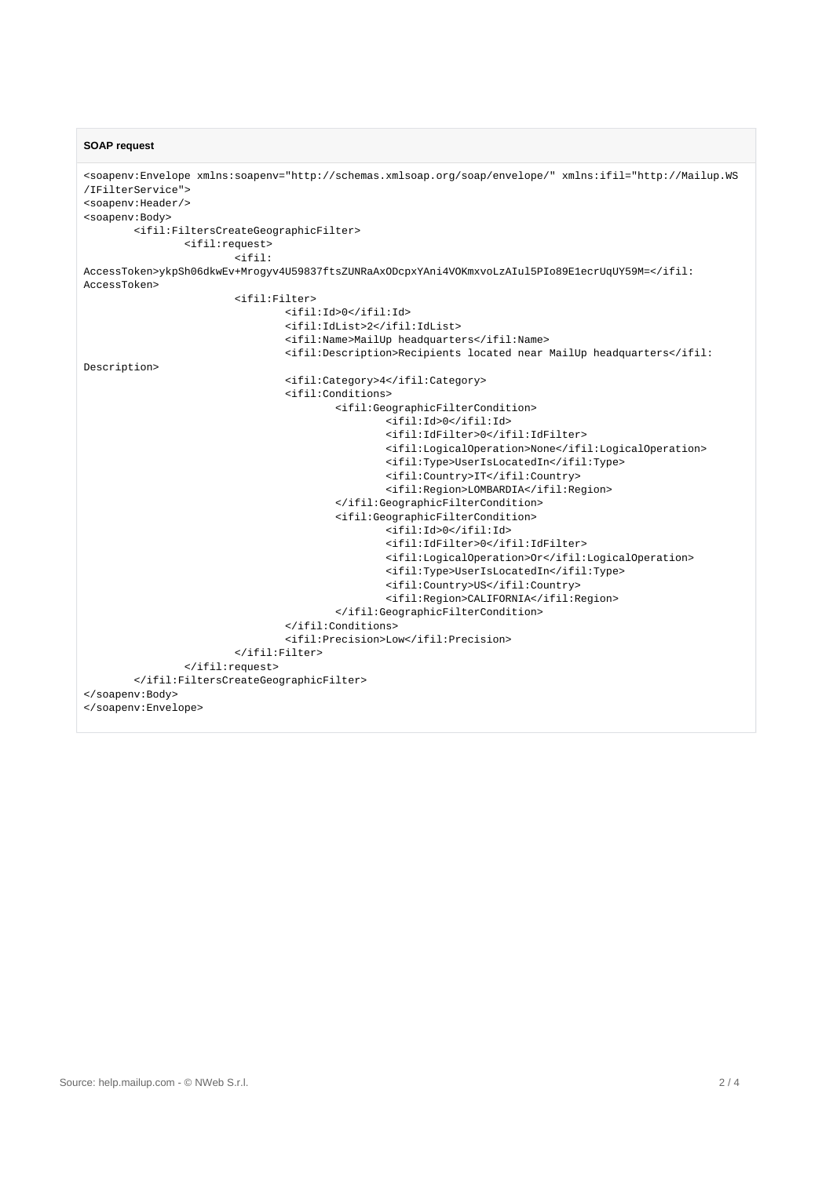**SOAP request**

```
<soapenv:Envelope xmlns:soapenv="http://schemas.xmlsoap.org/soap/envelope/" xmlns:ifil="http://Mailup.WS
/IFilterService">
<soapenv:Header/>
<soapenv:Body>
         <ifil:FiltersCreateGeographicFilter>
                 <ifil:request>
                         \rightarrowi\neqil:
AccessToken>ykpSh06dkwEv+Mrogyv4U59837ftsZUNRaAxODcpxYAni4VOKmxvoLzAIul5PIo89E1ecrUqUY59M=</ifil:
AccessToken>
                          <ifil:Filter>
                                  <ifil:Id>0</ifil:Id>
                                  <ifil:IdList>2</ifil:IdList>
                                  <ifil:Name>MailUp headquarters</ifil:Name>
                                  <ifil:Description>Recipients located near MailUp headquarters</ifil:
Description>
                                  <ifil:Category>4</ifil:Category>
                                  <ifil:Conditions>
                                           <ifil:GeographicFilterCondition>
                                                   <ifil:Id>0</ifil:Id>
                                                   <ifil:IdFilter>0</ifil:IdFilter>
                                                   <ifil:LogicalOperation>None</ifil:LogicalOperation>
                                                   <ifil:Type>UserIsLocatedIn</ifil:Type>
                                                   <ifil:Country>IT</ifil:Country>
                                                   <ifil:Region>LOMBARDIA</ifil:Region>
                                           </ifil:GeographicFilterCondition>
                                           <ifil:GeographicFilterCondition>
                                                   <ifil:Id>0</ifil:Id>
                                                   <ifil:IdFilter>0</ifil:IdFilter>
                                                   <ifil:LogicalOperation>Or</ifil:LogicalOperation>
                                                   <ifil:Type>UserIsLocatedIn</ifil:Type>
                                                   <ifil:Country>US</ifil:Country>
                                                   <ifil:Region>CALIFORNIA</ifil:Region>
                                           </ifil:GeographicFilterCondition>
                                  </ifil:Conditions>
                                  <ifil:Precision>Low</ifil:Precision>
                          </ifil:Filter>
                  </ifil:request>
         </ifil:FiltersCreateGeographicFilter>
</soapenv:Body>
</soapenv:Envelope>
```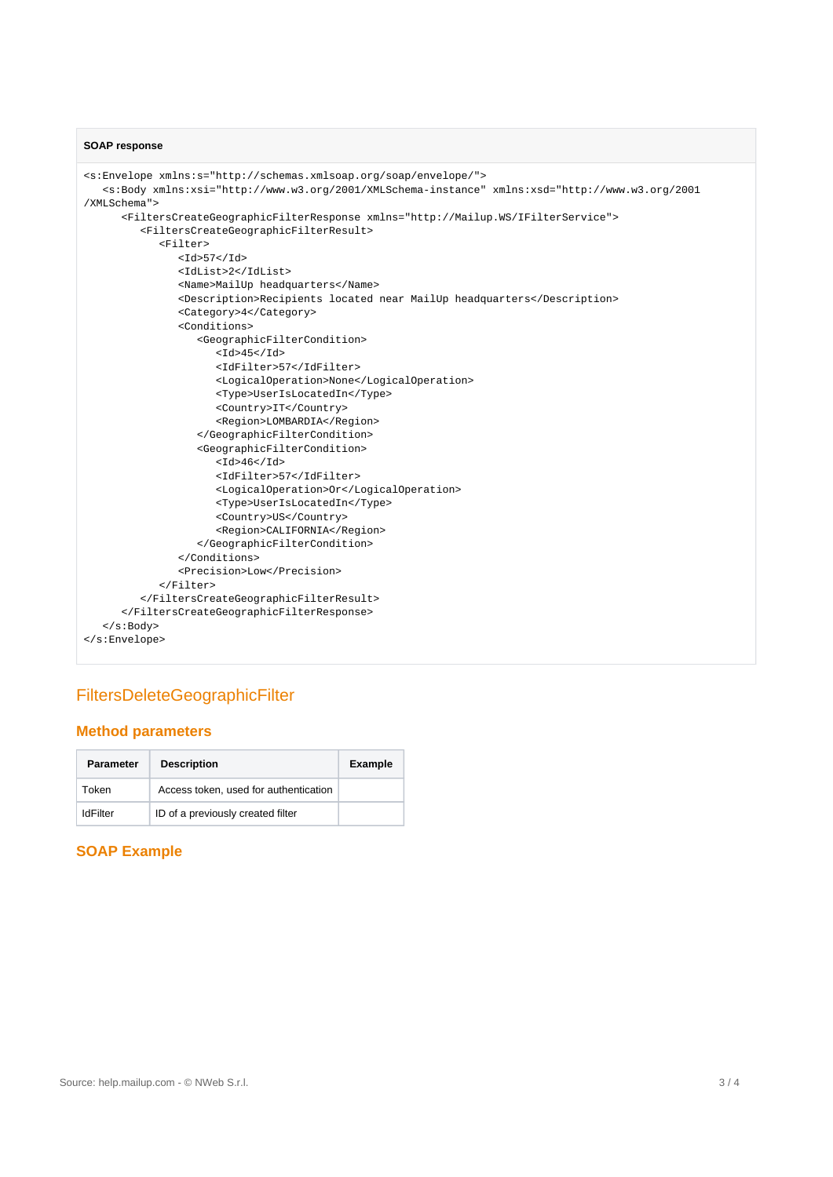#### **SOAP response**

```
<s:Envelope xmlns:s="http://schemas.xmlsoap.org/soap/envelope/">
   <s:Body xmlns:xsi="http://www.w3.org/2001/XMLSchema-instance" xmlns:xsd="http://www.w3.org/2001
/XMLSchema">
       <FiltersCreateGeographicFilterResponse xmlns="http://Mailup.WS/IFilterService">
          <FiltersCreateGeographicFilterResult>
             <Filter>
                <sub>Td</sub><sub>57</sub><sub>/Td</sub></sub></sub></sub>
                 <IdList>2</IdList>
                 <Name>MailUp headquarters</Name>
                 <Description>Recipients located near MailUp headquarters</Description>
                 <Category>4</Category>
                 <Conditions>
                    <GeographicFilterCondition>
                      <Id>45</Id> <IdFilter>57</IdFilter>
                       <LogicalOperation>None</LogicalOperation>
                       <Type>UserIsLocatedIn</Type>
                        <Country>IT</Country>
                       <Region>LOMBARDIA</Region>
                    </GeographicFilterCondition>
                    <GeographicFilterCondition>
                      <Id>46</Id>
                       <IdFilter>57</IdFilter>
                       <LogicalOperation>Or</LogicalOperation>
                       <Type>UserIsLocatedIn</Type>
                       <Country>US</Country>
                       <Region>CALIFORNIA</Region>
                    </GeographicFilterCondition>
                 </Conditions>
                 <Precision>Low</Precision>
             </Filter>
          </FiltersCreateGeographicFilterResult>
       </FiltersCreateGeographicFilterResponse>
    </s:Body>
</s:Envelope>
```
# <span id="page-2-0"></span>FiltersDeleteGeographicFilter

#### <span id="page-2-1"></span>**Method parameters**

| <b>Parameter</b> | <b>Description</b>                    | <b>Example</b> |
|------------------|---------------------------------------|----------------|
| Token            | Access token, used for authentication |                |
| IdFilter         | ID of a previously created filter     |                |

### <span id="page-2-2"></span>**SOAP Example**